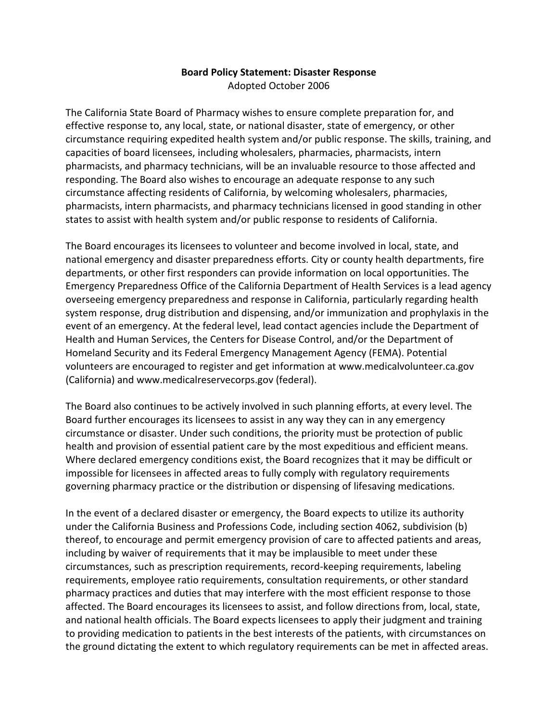## **Board Policy Statement: Disaster Response**  Adopted October 2006

The California State Board of Pharmacy wishes to ensure complete preparation for, and effective response to, any local, state, or national disaster, state of emergency, or other circumstance requiring expedited health system and/or public response. The skills, training, and capacities of board licensees, including wholesalers, pharmacies, pharmacists, intern pharmacists, and pharmacy technicians, will be an invaluable resource to those affected and responding. The Board also wishes to encourage an adequate response to any such circumstance affecting residents of California, by welcoming wholesalers, pharmacies, pharmacists, intern pharmacists, and pharmacy technicians licensed in good standing in other states to assist with health system and/or public response to residents of California.

The Board encourages its licensees to volunteer and become involved in local, state, and national emergency and disaster preparedness efforts. City or county health departments, fire departments, or other first responders can provide information on local opportunities. The Emergency Preparedness Office of the California Department of Health Services is a lead agency overseeing emergency preparedness and response in California, particularly regarding health system response, drug distribution and dispensing, and/or immunization and prophylaxis in the event of an emergency. At the federal level, lead contact agencies include the Department of Health and Human Services, the Centers for Disease Control, and/or the Department of Homeland Security and its Federal Emergency Management Agency (FEMA). Potential volunteers are encouraged to register and get information at <www.medicalvolunteer.ca.gov> (California) and <www.medicalreservecorps.gov> (federal).

The Board also continues to be actively involved in such planning efforts, at every level. The Board further encourages its licensees to assist in any way they can in any emergency circumstance or disaster. Under such conditions, the priority must be protection of public health and provision of essential patient care by the most expeditious and efficient means. Where declared emergency conditions exist, the Board recognizes that it may be difficult or impossible for licensees in affected areas to fully comply with regulatory requirements governing pharmacy practice or the distribution or dispensing of lifesaving medications.

In the event of a declared disaster or emergency, the Board expects to utilize its authority under the California Business and Professions Code, including section 4062, subdivision (b) thereof, to encourage and permit emergency provision of care to affected patients and areas, including by waiver of requirements that it may be implausible to meet under these circumstances, such as prescription requirements, record-keeping requirements, labeling requirements, employee ratio requirements, consultation requirements, or other standard pharmacy practices and duties that may interfere with the most efficient response to those affected. The Board encourages its licensees to assist, and follow directions from, local, state, and national health officials. The Board expects licensees to apply their judgment and training to providing medication to patients in the best interests of the patients, with circumstances on the ground dictating the extent to which regulatory requirements can be met in affected areas.